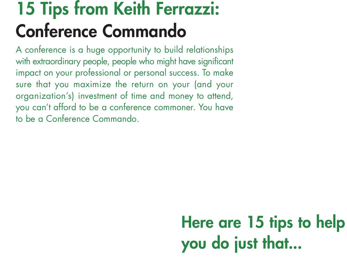# 15 Tips from Keith Ferrazzi: Conference Commando

A conference is a huge opportunity to build relationships with extraordinary people, people who might have significant impact on your professional or personal success. To make sure that you maximize the return on your (and your o r g a niz atio <sup>n</sup>'s) investment of time and money to attend, you can't afford to be a conference commoner. You have to be a Conference Commando.

> Here are 15 tips to help you do just that...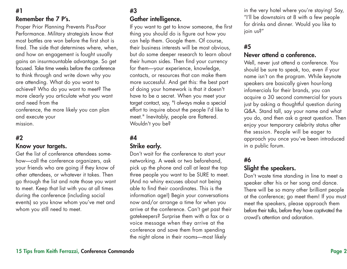#### #1

## Remember the 7 P's.

Proper Prior Planning Prevents Piss-Poor Performance. Military strategists know that most battles are won before the first shot is fired. The side that determines where, when, and how an engagement is fought usually gains an insurmountable advantage. So get focused. Take time weeks before the conference to think through and write down why you are attending. What do you want to achieve? Who do you want to meet? The more clearly you articulate what you want and need from the

conference, the more likely you can plan and execute your mission.

## #2

#### Know your targets.

Get the list of conference attendees somehow—call the conference organizers, ask your friends who are going if they know of other attendees, or whatever it takes. Then go through the list and note those you want to meet. Keep that list with you at all times during the conference (including social events) so you know whom you've met and whom you still need to meet.

## #3 Gather intelligence.

If you want to get to know someone, the first thing you should do is figure out how you can help them. Google them. Of course, their business interests will be most obvious, but do some deeper research to learn about their human sides. Then find your currency for them—your experience, knowledge, contacts, or resources that can make them more successful. And get this: the best part of doing your homework is that it doesn't have to be a secret. When you meet your target contact, say, "I always make a special effort to inquire about the people I'd like to meet." Inevitably, people are flattered. Wouldn't you be?

## #4

## Strike early.

Don't wait for the conference to start your networking. A week or two beforehand, <sup>p</sup>ick up the phone and call at least the top three people you want to be SURE to meet. (And no whiny excuses about not being able to find their coordinates. This is the information age!) Begin your conversations now and/or arrange a time for when you arrive at the conference. Can't get past their gatekeepers? Surprise them with a fax or a voice message when they arrive at the c o nference and save them from spending the night alone in their rooms—most likely

in the very hotel where you're staying! Say, "I'll be downstairs at 8 with a few people for drinks and dinner. Would you like to join us?"

## #5

#### Never attend a conference.

Well, never just attend a conference. You should be sure to speak, too, even if your name isn't on the program. While keynote speakers are basically given hour-long infomercials for their brands, you can acquire a 30 second commercial for yours just by asking a thoughtful question during Q&A. Stand tall, say your name and what you do, and then ask a great question. Then enjoy your temporary celebrity status after the session. People will be eager to approach you once you've been introduced in a public forum.

## #6

## Slight the speakers.

Don't waste time standing in line to meet a speaker after his or her song and dance. There will be so many other brilliant people at the conference; go meet them! If you must meet the speakers, please approach them before their talks, before they have captivated the cro w d's atte ntio n a n d a d oratio n.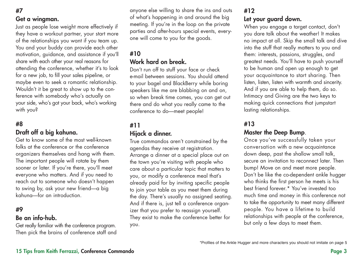#7

#### Get a wingman.

Just as people lose weight more effectively if they have a workout partner, your start more of the relationships you want if you team up. You and your buddy can provide each other motivation, guidance, and assistance if y ou'll share with each other your real reasons for attending the conference, whether it's to lo o k for <sup>a</sup> n e <sup>w</sup> jo b, to fill <sup>y</sup> our sales <sup>p</sup>ip elin e, or maybe even to seek a romantic relationship. Wouldn't it be great to show up to the conference with somebody who's actually on your side, who's got your back, who's working with you?

## #8

## Draft off a big kahuna.

Get to know some of the most well-known folks at the conference or the conference organizers themselves and hang with them. The important people will rotate by them sooner or later. If you're there, you'll meet everyone who matters. And if you need to reach out to someone who doesn't happen to swing by, ask your new friend—a big kahuna—for an introduction.

## #9

#### Be an info-hub.

Get really familiar with the conference program. Then pick the brains of conference staff and anyone else willing to share the ins and outs of what's happening in and around the big meeting. If you're in the loop on the private parties and after-hours special events, everyone will come to you for the goods.

## #10

## Work hard on break.

Don't run off to stuff your face or check e-mail between sessions. You should attend to your bagel and BlackBerry while boring speakers like me are blabbing on and on, so when break time comes, you can get out there and do what you really came to the conference to do—meet people!

## #11

## Hijack a dinner.

True commandos aren't constrained by the agendas they receive at registration. Arrange a dinner at a special place out on the town you're visiting with people who care about a particular topic that matters to you, or modify a conference meal that's already paid for by inviting specific people to join your table as you meet them during the day. There's usually no assigned seating. And if there is, just tell a conference organizer that you prefer to reassign yourself. They exist to make the conference better for you.

## #12

#### Let your guard down.

When you engage a target contact, don't you dare talk about the weather! It makes no impact at all. Skip the small talk and dive into the stuff that really matters to you and them: interests, passions, struggles, and greatest needs. You'll have to push yourself to be human and open up enough to get y our a c quainta n c <sup>e</sup> to start sh arin g. T h e n listen, listen, listen with warmth and sincerity. And if you are able to help them, do so. Intimacy and Giving are the two keys to making quick connections that jumpstart lasting relationships.

#### #13

## Master the Deep Bump.

Once you've successfully taken your c o n v ersatio <sup>n</sup> with a new acquaintance down deep, past the shallow small talk, secure an invitation to reconnect later. Then bump! Move on and meet more people. Don't be like the co-dependent ankle hugger who thinks the first person he meets is his best friend forever.\* You've invested too much time and money in this conference not to take the opportunity to meet many different p e o <sup>p</sup>le. You h a v e <sup>a</sup> lifetim e to build relationships with people at the conference, but only a few days to meet them.

\*Profiles of the Ankle Hugger and more characters you should not imitate on page 5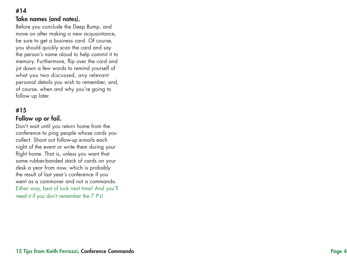#### #14

## Take names (and notes).

Before you conclude the Deep Bump, and move on after making a new acquaintance, be sure to get a business card. Of course, you should quickly scan the card and say the person's name aloud to help commit it to memor y. Furthermore, flip over the card and jot down a few words to remind yourself of what you two discussed, any relevant p ersonal details you wish to remember, and, of course, when and why you're going to follow up later.

## #15 Follow up or fail.

Don't wait until you return home from the conference to ping people whose cards you collect. Shoot out follow-up e-mails each night of the event or write them during your flight home. That is, unless you want that same rubber-banded stack of cards on your desk a year from now, which is probably the result of last year's conference if you went as a commoner and not a commando. Either way, best of luck next time! And you'll need it if you don't remember the 7 P's!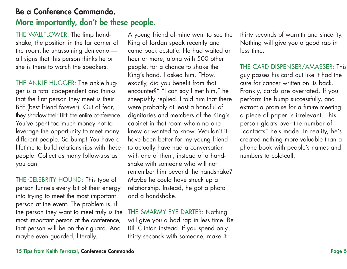## Be a Conference Commando. More importantly, don't be these people.

THE WALLFLOWER: The limp handshake, the position in the far corner of the room,the unassuming demeanor all signs that this person thinks he or she is there to watch the speakers.

THE ANKLE HUGGER: The ankle hugger is a total codependent and thinks that the first person they meet is their BFF (best friend forever). Out of fear, they shadow their BFF the entire conference. You've spent too much money not to leverage the opportunity to meet many different people. So bump! You have a lifetime to build relationships with these people. Collect as many follow-ups as you can.

THE CELEBRITY HOUND: This type of person funnels every bit of their energy into trying to meet the most important person at the event. The problem is, if the person they want to meet truly is the m o st im p orta nt p ers o n at th e c o nfere n c e, that person will be on their guard. And maybe even guarded, literally.

A young friend of mine went to see the King of Jordan speak recently and came back ecstatic. He had waited an hour or more, along with 500 other people, for a chance to shake the King's hand. I asked him, "How, exactly, did you benefit from that encounter?" "I can say I met him," he sheepishly replied. I told him that there were probably at least a handful of dignitaries and members of the King' s cabinet in that room whom no one knew or wanted to know. Wouldn't it have been better for my young friend to actually have had a conversation with one of them, instead of a handshake with someone who will not remember him beyond the handshake? Maybe he could have struck up a relationship. Instead, he got a photo and a handshake.

THE SMARMY EYE DARTER: Nothing will give you a bad rap in less time. Be Bill Clinton instead. If you spend only thirty seconds with someone, make it

thirty seconds of warmth and sincerity. Nothing will give you a good rap in less time.

## THE CARD DISPENSER/AMASSER: This

guy passes his card out like it had the cure for cancer written on its back. Frankly, cards are overrated. If you p erform the bump successfully, and extract a promise for a future meeting, a piece of paper is irrelevant. This person gloats over the number of " c o nta cts " h <sup>e</sup>'s m a d e. In re ality, h <sup>e</sup>'s cre ate d nothing more valuable than a <sup>p</sup>hone book with people's names and numbers to cold-call.